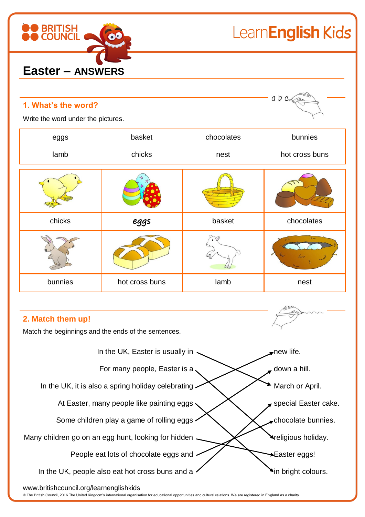

LearnEnglish Kids

| 1. What's the word?<br>Write the word under the pictures. | abc            |            |                |  |  |
|-----------------------------------------------------------|----------------|------------|----------------|--|--|
| eggs                                                      | basket         | chocolates | bunnies        |  |  |
| lamb                                                      | chicks         | nest       | hot cross buns |  |  |
|                                                           |                |            |                |  |  |
| chicks                                                    | eggs           | basket     | chocolates     |  |  |
|                                                           |                |            |                |  |  |
| bunnies                                                   | hot cross buns | lamb       | nest           |  |  |

# **2. Match them up!**

Match the beginnings and the ends of the sentences.



#### www.britishcouncil.org/learnenglishkids

© The British Council, 2016 The United Kingdom's international organisation for educational opportunities and cultural relations. We are registered in England as a charity.